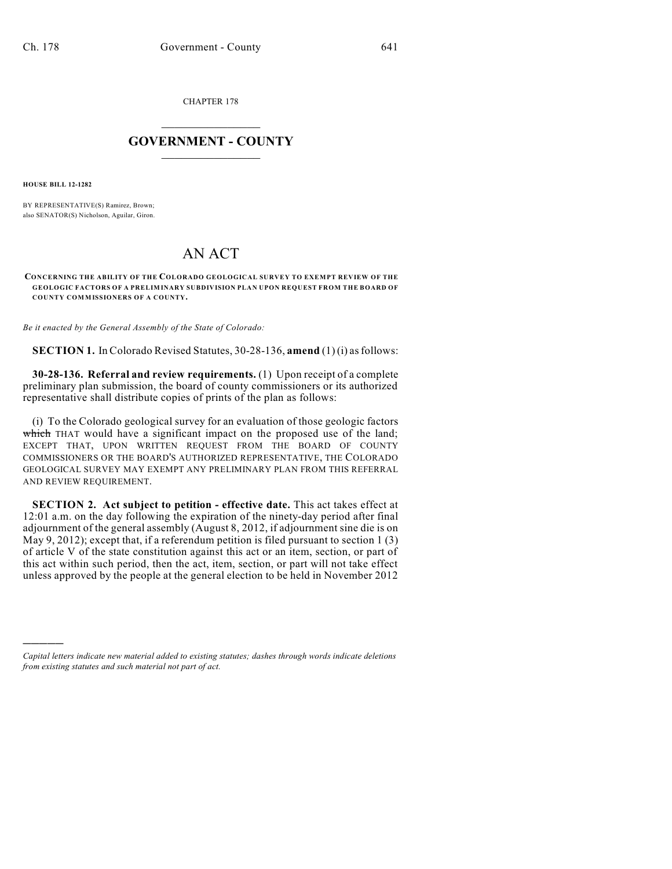CHAPTER 178

## $\mathcal{L}_\text{max}$  . The set of the set of the set of the set of the set of the set of the set of the set of the set of the set of the set of the set of the set of the set of the set of the set of the set of the set of the set **GOVERNMENT - COUNTY**  $\_$

**HOUSE BILL 12-1282**

)))))

BY REPRESENTATIVE(S) Ramirez, Brown; also SENATOR(S) Nicholson, Aguilar, Giron.

## AN ACT

**CONCERNING THE ABILITY OF THE COLORADO GEOLOGICAL SURVEY TO EXEMPT REVIEW OF THE GEOLOGIC FACTORS OF A PRELIMINARY SUBDIVISION PLAN UPON REQUEST FROM THE BOARD OF COUNTY COMMISSIONERS OF A COUNTY.**

*Be it enacted by the General Assembly of the State of Colorado:*

**SECTION 1.** In Colorado Revised Statutes, 30-28-136, **amend** (1) (i) asfollows:

**30-28-136. Referral and review requirements.** (1) Upon receipt of a complete preliminary plan submission, the board of county commissioners or its authorized representative shall distribute copies of prints of the plan as follows:

(i) To the Colorado geological survey for an evaluation of those geologic factors which THAT would have a significant impact on the proposed use of the land; EXCEPT THAT, UPON WRITTEN REQUEST FROM THE BOARD OF COUNTY COMMISSIONERS OR THE BOARD'S AUTHORIZED REPRESENTATIVE, THE COLORADO GEOLOGICAL SURVEY MAY EXEMPT ANY PRELIMINARY PLAN FROM THIS REFERRAL AND REVIEW REQUIREMENT.

**SECTION 2. Act subject to petition - effective date.** This act takes effect at 12:01 a.m. on the day following the expiration of the ninety-day period after final adjournment of the general assembly (August 8, 2012, if adjournment sine die is on May 9, 2012); except that, if a referendum petition is filed pursuant to section 1 (3) of article V of the state constitution against this act or an item, section, or part of this act within such period, then the act, item, section, or part will not take effect unless approved by the people at the general election to be held in November 2012

*Capital letters indicate new material added to existing statutes; dashes through words indicate deletions from existing statutes and such material not part of act.*